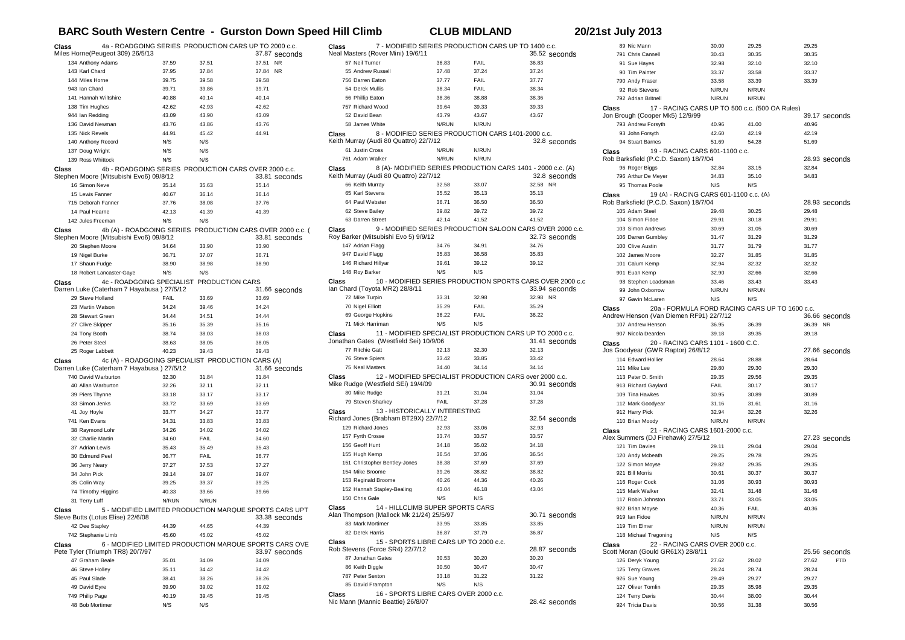## **BARC South Western Centre - Gurston Down Speed Hill Climb CLUB MIDLAND 20/21st July 2013**

| Class |                                           |              |                                                   | 4a - ROADGOING SERIES PRODUCTION CARS UP TO 2000 c.c.                       |  |
|-------|-------------------------------------------|--------------|---------------------------------------------------|-----------------------------------------------------------------------------|--|
|       | Miles Horne(Peugeot 309) 26/5/13          |              |                                                   | 37.87 seconds                                                               |  |
|       | 134 Anthony Adams                         | 37.59        | 37.51                                             | 37.51<br><b>NR</b>                                                          |  |
|       | 143 Karl Chard                            | 37.95        | 37.84                                             | 37.84<br><b>NR</b>                                                          |  |
|       | 144 Miles Horne                           | 39.75        | 39.58                                             | 39.58                                                                       |  |
|       | 943 Ian Chard                             | 39.71        | 39.86                                             | 39.71                                                                       |  |
|       | 141 Hannah Wiltshire                      | 40.88        | 40.14                                             | 40.14                                                                       |  |
|       | 138 Tim Hughes                            | 42.62        | 42.93                                             | 42.62                                                                       |  |
|       | 944 Ian Redding                           | 43.09        | 43.90                                             | 43.09                                                                       |  |
|       | 136 David Newman                          | 43.76        | 43.86                                             | 43.76                                                                       |  |
|       | 135 Nick Revels                           | 44.91        | 45.42                                             | 44.91                                                                       |  |
|       | 140 Anthony Record                        | N/S          | N/S                                               |                                                                             |  |
|       | 137 Doug Wright                           | N/S          | N/S                                               |                                                                             |  |
|       | 139 Ross Whittock                         | N/S          | N/S                                               |                                                                             |  |
| Class |                                           |              |                                                   | 4b - ROADGOING SERIES PRODUCTION CARS OVER 2000 c.c.                        |  |
|       | Stephen Moore (Mitsubishi Evo6) 09/8/12   |              |                                                   | 33.81 seconds                                                               |  |
|       | 16 Simon Neve                             | 35.14        | 35.63                                             | 35.14                                                                       |  |
|       | 15 Lewis Fanner                           | 40.67        | 36.14                                             | 36.14                                                                       |  |
|       | 715 Deborah Fanner                        | 37.76        | 38.08                                             | 37.76                                                                       |  |
|       | 14 Paul Hearne<br>142 Jules Freeman       | 42.13<br>N/S | 41.39                                             | 41.39                                                                       |  |
|       |                                           |              | N/S                                               |                                                                             |  |
| Class | Stephen Moore (Mitsubishi Evo6) 09/8/12   |              |                                                   | 4b (A) - ROADGOING SERIES PRODUCTION CARS OVER 2000 c.c. (<br>33.81 seconds |  |
|       | 20 Stephen Moore                          | 34.64        | 33.90                                             | 33.90                                                                       |  |
|       | 19 Nigel Burke                            | 36.71        | 37.07                                             | 36.71                                                                       |  |
|       | 17 Shaun Fudge                            | 38.90        | 38.98                                             | 38.90                                                                       |  |
|       | 18 Robert Lancaster-Gaye                  | N/S          | N/S                                               |                                                                             |  |
| Class |                                           |              | 4c - ROADGOING SPECIALIST PRODUCTION CARS         |                                                                             |  |
|       | Darren Luke (Caterham 7 Hayabusa) 27/5/12 |              |                                                   | 31.66 seconds                                                               |  |
|       | 29 Steve Holland                          | FAIL         | 33.69                                             | 33.69                                                                       |  |
|       | 23 Martin Watson                          | 34.24        | 39.46                                             | 34.24                                                                       |  |
|       | 28 Stewart Green                          | 34.44        | 34.51                                             | 34.44                                                                       |  |
|       | 27 Clive Skipper                          | 35.16        | 35.39                                             | 35.16                                                                       |  |
|       | 24 Tony Booth                             | 38.74        | 38.03                                             | 38.03                                                                       |  |
|       | 26 Peter Steel                            | 38.63        | 38.05                                             | 38.05                                                                       |  |
|       | 25 Roger Labbett                          | 40.23        | 39.43                                             | 39.43                                                                       |  |
| Class | Darren Luke (Caterham 7 Hayabusa) 27/5/12 |              | 4c (A) - ROADGOING SPECIALIST PRODUCTION CARS (A) | 31.66 seconds                                                               |  |
|       | 740 David Warburton                       | 32.30        | 31.84                                             | 31.84                                                                       |  |
|       | 40 Allan Warburton                        | 32.26        | 32.11                                             | 32.11                                                                       |  |
|       | 39 Piers Thynne                           | 33.18        | 33.17                                             | 33.17                                                                       |  |
|       | 33 Simon Jenks                            | 33.72        | 33.69                                             | 33.69                                                                       |  |
|       | 41 Joy Hoyle                              | 33.77        | 34.27                                             | 33.77                                                                       |  |
|       | 741 Ken Evans                             | 34.31        | 33.83                                             | 33.83                                                                       |  |
|       | 38 Raymond Lohr                           | 34.26        | 34.02                                             | 34.02                                                                       |  |
|       | 32 Charlie Martin                         | 34.60        | FAIL                                              | 34.60                                                                       |  |
|       | 37 Adrian Lewis                           | 35.43        | 35.49                                             | 35.43                                                                       |  |
|       | 30 Edmund Peel                            | 36.77        | FAIL                                              | 36.77                                                                       |  |
|       | 36 Jerry Neary                            | 37.27        | 37.53                                             | 37.27                                                                       |  |
|       | 34 John Pick                              | 39.14        | 39.07                                             | 39.07                                                                       |  |
|       | 35 Colin Way                              | 39.25        | 39.37                                             | 39.25                                                                       |  |
|       | 74 Timothy Higgins                        | 40.33        | 39.66                                             | 39.66                                                                       |  |
|       | 31 Terry Luff                             | N/RUN        | N/RUN                                             |                                                                             |  |
| Class | Steve Butts (Lotus Elise) 22/6/08         |              |                                                   | 5 - MODIFIED LIMITED PRODUCTION MARQUE SPORTS CARS UPT<br>33.38 seconds     |  |
|       | 42 Dee Stapley                            | 44.39        | 44.65                                             | 44.39                                                                       |  |
|       | 742 Stephanie Limb                        | 45.60        | 45.02                                             | 45.02                                                                       |  |
| Class | Pete Tyler (Triumph TR8) 20/7/97          |              |                                                   | 6 - MODIFIED LIMITED PRODUCTION MARQUE SPORTS CARS OVE<br>33.97 seconds     |  |
|       | 47 Graham Beale                           | 35.01        | 34.09                                             | 34.09                                                                       |  |
|       | 46 Steve Holley                           | 35.11        | 34.42                                             | 34.42                                                                       |  |
|       | 45 Paul Slade                             | 38.41        | 38.26                                             | 38.26                                                                       |  |
|       | 49 David Eyre                             | 39.90        | 39.02                                             | 39.02                                                                       |  |
|       | 749 Philip Page                           | 40.19        | 39.45                                             | 39.45                                                                       |  |
|       | 48 Bob Mortimer                           | N/S          | N/S                                               |                                                                             |  |

| 7 - MODIFIED SERIES PRODUCTION CARS UP TO 1400 c.c.<br>Class                                          |       |             |                                                             |
|-------------------------------------------------------------------------------------------------------|-------|-------------|-------------------------------------------------------------|
| Neal Masters (Rover Mini) 19/6/11                                                                     |       |             | 35.52 seconds                                               |
| 57 Neil Turner                                                                                        | 36.83 | FAIL        | 36.83                                                       |
| 55 Andrew Russell                                                                                     | 37.48 | 37.24       | 37.24                                                       |
| 756 Darren Eaton                                                                                      | 37.77 | FAIL        | 37.77                                                       |
| 54 Derek Mullis                                                                                       | 38.34 | <b>FAIL</b> | 38.34                                                       |
| 56 Phillip Eaton                                                                                      | 38.36 | 38.88       | 38.36                                                       |
| 757 Richard Wood                                                                                      | 39.64 | 39.33       | 39.33                                                       |
| 52 David Bean                                                                                         | 43.79 | 43.67       | 43.67                                                       |
| 58 James White                                                                                        | N/RUN | N/RUN       |                                                             |
|                                                                                                       |       |             |                                                             |
| 8 - MODIFIED SERIES PRODUCTION CARS 1401-2000 c.c.<br>Class<br>Keith Murray (Audi 80 Quattro) 22/7/12 |       |             | 32.8 seconds                                                |
| 61 Justin Cross                                                                                       | N/RUN | N/RUN       |                                                             |
|                                                                                                       |       |             |                                                             |
| 761 Adam Walker                                                                                       | N/RUN | N/RUN       |                                                             |
| Class                                                                                                 |       |             | 8 (A)- MODIFIED SERIES PRODUCTION CARS 1401 - 2000 c.c. (A) |
| Keith Murray (Audi 80 Quattro) 22/7/12                                                                |       |             | 32.8 seconds                                                |
| 66 Keith Murray                                                                                       | 32.58 | 33.07       | 32.58 NR                                                    |
| 65 Karl Stevens                                                                                       | 35.52 | 35.13       | 35.13                                                       |
| 64 Paul Webster                                                                                       | 36.71 | 36.50       | 36.50                                                       |
| 62 Steve Bailey                                                                                       | 39.82 | 39.72       | 39.72                                                       |
| 63 Darren Street                                                                                      | 4214  | 41.52       | 41.52                                                       |
| Class                                                                                                 |       |             | 9 - MODIFIED SERIES PRODUCTION SALOON CARS OVER 2000 c.c.   |
| Roy Barker (Mitsubishi Evo 5) 9/9/12                                                                  |       |             | 32.73 seconds                                               |
| 147 Adrian Flagg                                                                                      | 34.76 | 34.91       | 34.76                                                       |
| 947 David Flagg                                                                                       | 35.83 | 36.58       | 35.83                                                       |
| 146 Richard Hillyar                                                                                   | 39.61 | 39.12       | 39.12                                                       |
| 148 Roy Barker                                                                                        | N/S   | N/S         |                                                             |
| Class                                                                                                 |       |             | 10 - MODIFIED SERIES PRODUCTION SPORTS CARS OVER 2000 c.c   |
| lan Chard (Toyota MR2) 28/8/11                                                                        |       |             | 33.94 seconds                                               |
| 72 Mike Turpin                                                                                        | 33.31 | 32.98       | 32.98 NR                                                    |
| 70 Nigel Elliott                                                                                      | 35.29 | FAIL        | 35.29                                                       |
| 69 George Hopkins                                                                                     | 36.22 | FAIL        | 36.22                                                       |
| 71 Mick Harriman                                                                                      | N/S   | N/S         |                                                             |
|                                                                                                       |       |             |                                                             |
|                                                                                                       |       |             |                                                             |
| Class                                                                                                 |       |             | 11 - MODIFIED SPECIALIST PRODUCTION CARS UP TO 2000 c.c.    |
| Jonathan Gates (Westfield Sei) 10/9/06                                                                |       |             | 31.41 seconds                                               |
| 77 Ritchie Gatt                                                                                       | 32.13 | 32.30       | 32.13                                                       |
| 76 Steve Spiers                                                                                       | 33.42 | 33.85       | 33.42                                                       |
| 75 Neal Masters                                                                                       | 34.40 | 34.14       | 34.14                                                       |
| Class                                                                                                 |       |             | 12 - MODIFIED SPECIALIST PRODUCTION CARS over 2000 c.c.     |
| Mike Rudge (Westfield SEi) 19/4/09                                                                    |       |             | 30.91 seconds                                               |
| 80 Mike Rudge                                                                                         | 31.21 | 31.04       | 31.04                                                       |
| 79 Steven Sharkey                                                                                     | FAIL  | 37.28       | 37.28                                                       |
| 13 - HISTORICALLY INTERESTING<br>Class                                                                |       |             |                                                             |
| Richard Jones (Brabham BT29X) 22/7/12                                                                 |       |             | 32.54 seconds                                               |
| 129 Richard Jones                                                                                     | 32.93 | 33.06       | 32.93                                                       |
| 157 Fyrth Crosse                                                                                      | 33.74 | 33.57       | 33.57                                                       |
| 156 Geoff Hunt                                                                                        | 34.18 | 35.02       | 34.18                                                       |
| 155 Hugh Kemp                                                                                         | 36.54 | 37.06       | 36.54                                                       |
|                                                                                                       | 38.38 | 37.69       | 37.69                                                       |
| 151 Christopher Bentley-Jones                                                                         |       | 38.82       |                                                             |
| 154 Mike Broome                                                                                       | 39.26 |             | 38.82                                                       |
| 153 Reginald Broome                                                                                   | 40.26 | 44.36       | 40.26                                                       |
| 152 Hannah Stapley-Bealing                                                                            | 43.04 | 46.18       | 43.04                                                       |
| 150 Chris Gale                                                                                        | N/S   | N/S         |                                                             |
| 14 - HILLCLIMB SUPER SPORTS CARS<br>Class                                                             |       |             |                                                             |
| Alan Thompson (Mallock Mk 21/24) 25/5/97<br>83 Mark Mortimer                                          | 33.95 | 33.85       | 30.71 seconds<br>33.85                                      |
|                                                                                                       |       |             |                                                             |
| 82 Derek Harris                                                                                       | 36.87 | 37.79       | 36.87                                                       |
| 15 - SPORTS LIBRE CARS UP TO 2000 c.c.<br>Class                                                       |       |             |                                                             |
| Rob Stevens (Force SR4) 22/7/12                                                                       |       |             | 28.87 seconds                                               |
| 87 Jonathan Gates                                                                                     | 30.53 | 30.20       | 30.20                                                       |
| 86 Keith Diggle                                                                                       | 30.50 | 30.47       | 30.47                                                       |
| 787 Peter Sexton                                                                                      | 33.18 | 31.22       | 31.22                                                       |
| 85 David Frampton<br>16 - SPORTS LIBRE CARS OVER 2000 c.c.<br>Class                                   | N/S   | N/S         |                                                             |

|       | 89 Nic Mann                                                                               | 30.00          | 29.25          |                     |
|-------|-------------------------------------------------------------------------------------------|----------------|----------------|---------------------|
|       |                                                                                           |                |                | 29.25               |
|       | 791 Chris Cannell                                                                         | 30.43          | 30.35          | 30.35               |
|       | 91 Sue Hayes                                                                              | 32.98          | 32.10          | 32.10               |
|       | 90 Tim Painter                                                                            | 33.37          | 33.58          | 33.37               |
|       | 790 Andy Fraser                                                                           | 33.58          | 33.39          | 33.39               |
|       | 92 Rob Stevens                                                                            | N/RUN          | N/RUN          |                     |
|       |                                                                                           | N/RUN          |                |                     |
|       | 792 Adrian Britnell                                                                       |                | N/RUN          |                     |
| Class | 17 - RACING CARS UP TO 500 c.c. (500 OA Rules)                                            |                |                |                     |
|       | Jon Brough (Cooper Mk5) 12/9/99                                                           |                |                | 39.17 seconds       |
|       | 793 Andrew Forsyth                                                                        | 40.96          | 41.00          | 40.96               |
|       | 93 John Forsyth                                                                           | 42.60          | 42.19          | 42.19               |
|       | 94 Stuart Barnes                                                                          | 51.69          | 54.28          | 51.69               |
|       |                                                                                           |                |                |                     |
| Class | 19 - RACING CARS 601-1100 c.c.                                                            |                |                |                     |
|       | Rob Barksfield (P.C.D. Saxon) 18/7/04                                                     |                |                | 28.93 seconds       |
|       | 96 Roger Biggs                                                                            | 32.84          | 33.15          | 32.84               |
|       | 796 Arthur De Meyer                                                                       | 34.83          | 35.10          | 34.83               |
|       | 95 Thomas Poole                                                                           | N/S            | N/S            |                     |
|       | 19 (A) - RACING CARS 601-1100 c.c. (A)                                                    |                |                |                     |
| Class |                                                                                           |                |                |                     |
|       | Rob Barksfield (P.C.D. Saxon) 18/7/04                                                     |                |                | 28.93 seconds       |
|       | 105 Adam Steel                                                                            | 29.48          | 30.25          | 29.48               |
|       | 104 Simon Fidoe                                                                           | 29.91          | 30.18          | 29.91               |
|       | 103 Simon Andrews                                                                         | 30.69          | 31.05          | 30.69               |
|       | 106 Darren Gumbley                                                                        | 31.47          | 31.29          | 31.29               |
|       | 100 Clive Austin                                                                          | 31.77          | 31.79          | 31.77               |
|       |                                                                                           |                |                |                     |
|       | 102 James Moore                                                                           | 32.27          | 31.85          | 31.85               |
|       | 101 Calum Kemp                                                                            | 32.94          | 32.32          | 32.32               |
|       | 901 Euan Kemp                                                                             | 32.90          | 32.66          | 32.66               |
|       | 98 Stephen Loadsman                                                                       | 33.46          | 33.43          | 33.43               |
|       | 99 John Oxborrow                                                                          | N/RUN          | N/RUN          |                     |
|       | 97 Gavin McLaren                                                                          | N/S            | N/S            |                     |
| Class | 20a - FORMULA FORD RACING CARS UP TO 1600 c.c.<br>Andrew Henson (Van Diemen RF91) 22/7/12 |                |                | 36.66 seconds       |
|       | 107 Andrew Henson                                                                         | 36.95          | 36.39          | 36.39 NR            |
|       | 907 Nicola Dearden                                                                        | 39.18          | 39.35          | 39.18               |
| Class | 20 - RACING CARS 1101 - 1600 C.C.                                                         |                |                |                     |
|       | Jos Goodyear (GWR Raptor) 26/8/12                                                         |                |                | 27.66 seconds       |
|       | 114 Edward Hollier                                                                        | 28.64          | 28.88          | 28.64               |
|       | 111 Mike Lee                                                                              | 29.80          | 29.30          |                     |
|       |                                                                                           |                |                | 29.30               |
|       | 113 Peter D. Smith                                                                        | 29.35          | 29.56          | 29.35               |
|       | 913 Richard Gaylard                                                                       | FAIL           | 30.17          | 30.17               |
|       | 109 Tina Hawkes                                                                           | 30.95          | 30.89          | 30.89               |
|       | 112 Mark Goodyear                                                                         | 31.16          | 31.61          | 31.16               |
|       | 912 Harry Pick                                                                            | 32.94          | 32.26          | 32.26               |
|       |                                                                                           |                |                |                     |
|       | 110 Brian Moody                                                                           | N/RUN          | N/RUN          |                     |
| Class | 21 - RACING CARS 1601-2000 c.c.                                                           |                |                |                     |
|       | Alex Summers (DJ Firehawk) 27/5/12                                                        |                |                | 27.23 seconds       |
|       | 121 Tim Davies                                                                            | 29.11          | 29.04          | 29.04               |
|       | 120 Andy Mcbeath                                                                          | 29.25          | 29.78          | 29.25               |
|       | 122 Simon Moyse                                                                           | 29.82          | 29.35          | 29.35               |
|       | 921 Bill Morris                                                                           | 30.61          | 30.37          | 30.37               |
|       |                                                                                           |                |                |                     |
|       | 116 Roger Cock                                                                            | 31.06          | 30.93          | 30.93               |
|       | 115 Mark Walker                                                                           | 32.41          | 31.48          | 31.48               |
|       | 117 Robin Johnston                                                                        | 33.71          | 33.05          | 33.05               |
|       | 922 Brian Movse                                                                           | 40.36          | FAIL           | 40.36               |
|       | 919 Ian Fidoe                                                                             | N/RUN          | N/RUN          |                     |
|       | 119 Tim Elmer                                                                             |                |                |                     |
|       |                                                                                           | N/RUN          | N/RUN          |                     |
|       | 118 Michael Tregoning                                                                     | N/S            | N/S            |                     |
| Class | 22 - RACING CARS OVER 2000 c.c.                                                           |                |                |                     |
|       | Scott Moran (Gould GR61X) 28/8/11                                                         |                |                | 25.56 seconds       |
|       | 126 Deryk Young                                                                           | 27.62          | 28.02          | 27.62<br><b>FTD</b> |
|       | 125 Terry Graves                                                                          | 28.24          | 28.74          | 28.24               |
|       | 926 Sue Young                                                                             | 29.49          | 29.27          | 29.27               |
|       | 127 Oliver Tomlin                                                                         | 29.35          | 35.98          | 29.35               |
|       | 124 Terry Davis                                                                           |                |                |                     |
|       | 924 Tricia Davis                                                                          | 30.44<br>30.56 | 38.00<br>31.38 | 30.44<br>30.56      |